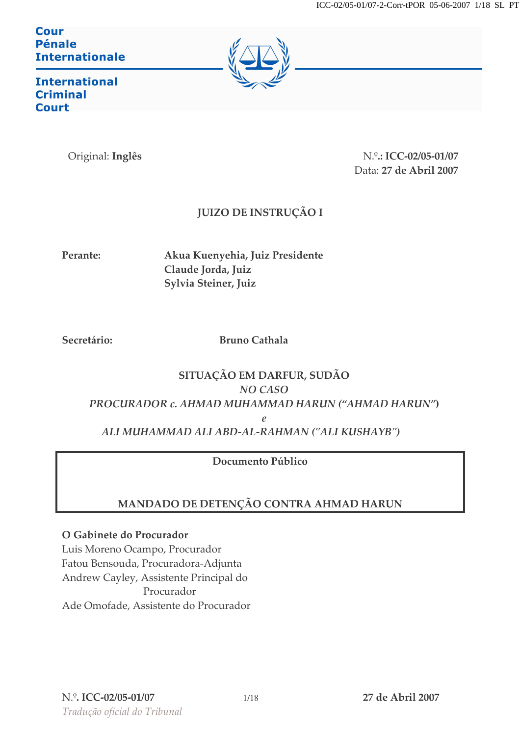Cour Pénale **Internationale** 



**International Criminal Court** 

Original: Inglês

N.º.: ICC-02/05-01/07 Data: 27 de Abril 2007

# **JUIZO DE INSTRUÇÃO I**

Perante:

Akua Kuenyehia, Juiz Presidente Claude Jorda, Juiz Sylvia Steiner, Juiz

Secretário:

**Bruno Cathala** 

## SITUAÇÃO EM DARFUR, SUDÃO NO CASO PROCURADOR c. AHMAD MUHAMMAD HARUN ("AHMAD HARUN")  $\rho$ ALI MUHAMMAD ALI ABD-AL-RAHMAN ("ALI KUSHAYB")

# Documento Público

# MANDADO DE DETENÇÃO CONTRA AHMAD HARUN

O Gabinete do Procurador

Luis Moreno Ocampo, Procurador Fatou Bensouda, Procuradora-Adjunta Andrew Cayley, Assistente Principal do Procurador Ade Omofade, Assistente do Procurador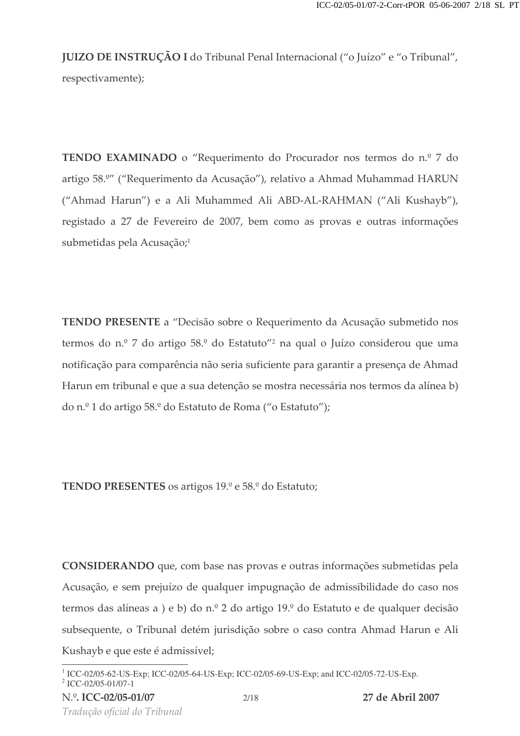JUIZO DE INSTRUÇAO I do Tribunal Penal Internacional ("o Juízo" e "o Tribunal",

respectivamente);

**TENDO EXAMINADO** o "Requerimento do Procurador nos termos do n.º 7 do artigo 58.º" ("Requerimento da Acusação"), relativo a Ahmad Muhammad HARUN ("Ahmad Harun") e a Ali Muhammed Ali ABD-AL-RAHMAN ("Ali Kushayb"), registado a 27 de Fevereiro de 2007, bem como as provas e outras informações submetidas pela Acusação;<sup>1</sup>

TENDO PRESENTE a "Decisão sobre o Requerimento da Acusação submetido nos termos do n.º 7 do artigo 58.º do Estatuto″º na qual o Juízo considerou que uma notificação para comparência não seria suficiente para garantir a presença de Ahmad Harun em tribunal e que a sua detenção se mostra necessária nos termos da alínea b) do n.º 1 do artigo 58.º do Estatuto de Roma ("o Estatuto");

**TENDO PRESENTES** os artigos  $19.°$  e  $58.°$  do Estatuto;

CONSIDERANDO que, com base nas provas e outras informações submetidas pela Acusação, e sem prejuízo de qualquer impugnação de admissibilidade do caso nos termos das alíneas a ) e b) do n.º 2 do artigo 19.º do Estatuto e de qualquer decisão subsequente, o Tribunal detém jurisdição sobre o caso contra Ahmad Harun e Ali Kushayb e que este é admissível;

<sup>1</sup> ICC-02/05-62-US-Exp; ICC-02/05-64-US-Exp; ICC-02/05-69-US-Exp; and ICC-02/05-72-US-Exp. 2 ICC-02/05-01/07-1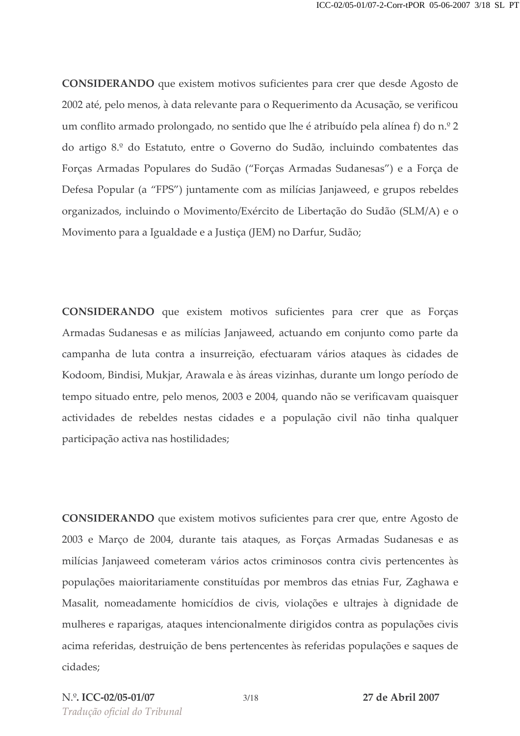**CONSIDERANDO** que existem motivos suficientes para crer que desde Agosto de 2002 até, pelo menos, à data relevante para o Requerimento da Acusação, se verificou um conflito armado prolongado, no sentido que lhe é atribuído pela alínea f) do n.º 2 do artigo 8.º do Estatuto, entre o Governo do Sudão, incluindo combatentes das Forças Armadas Populares do Sudão ("Forças Armadas Sudanesas") e a Força de Defesa Popular (a "FPS") juntamente com as milícias Janjaweed, e grupos rebeldes organizados, incluindo o Movimento/Exército de Libertação do Sudão (SLM/A) e o Movimento para a Igualdade e a Justiça (JEM) no Darfur, Sudão;

**CONSIDERANDO** que existem motivos suficientes para crer que as Forças Armadas Sudanesas e as milícias Janjaweed, actuando em conjunto como parte da campanha de luta contra a insurreição, efectuaram vários ataques às cidades de Kodoom, Bindisi, Mukjar, Arawala e às áreas vizinhas, durante um longo período de tempo situado entre, pelo menos, 2003 e 2004, quando não se verificavam quaisquer actividades de rebeldes nestas cidades e a população civil não tinha qualquer participação activa nas hostilidades;

**CONSIDERANDO** que existem motivos suficientes para crer que, entre Agosto de 2003 e Março de 2004, durante tais ataques, as Forças Armadas Sudanesas e as milícias Janjaweed cometeram vários actos criminosos contra civis pertencentes às populações maioritariamente constituídas por membros das etnias Fur, Zaghawa e Masalit, nomeadamente homicídios de civis, violações e ultrajes à dignidade de mulheres e raparigas, ataques intencionalmente dirigidos contra as populações civis acima referidas, destruição de bens pertencentes às referidas populações e saques de cidades: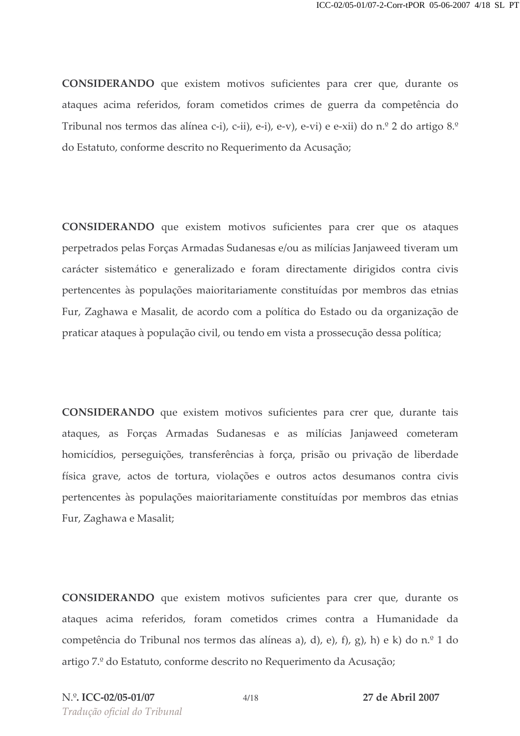**CONSIDERANDO** que existem motivos suficientes para crer que, durante os ataques acima referidos, foram cometidos crimes de guerra da competência do Tribunal nos termos das alínea c-i), c-ii), e-i), e-v), e-vi) e e-xii) do n.º 2 do artigo 8.º do Estatuto, conforme descrito no Requerimento da Acusação;

CONSIDERANDO que existem motivos suficientes para crer que os ataques perpetrados pelas Forças Armadas Sudanesas e/ou as milícias Janjaweed tiveram um carácter sistemático e generalizado e foram directamente dirigidos contra civis pertencentes às populações maioritariamente constituídas por membros das etnias Fur, Zaghawa e Masalit, de acordo com a política do Estado ou da organização de praticar ataques à população civil, ou tendo em vista a prossecução dessa política;

**CONSIDERANDO** que existem motivos suficientes para crer que, durante tais ataques, as Forças Armadas Sudanesas e as milícias Janjaweed cometeram homicídios, perseguições, transferências à força, prisão ou privação de liberdade física grave, actos de tortura, violações e outros actos desumanos contra civis pertencentes às populações maioritariamente constituídas por membros das etnias Fur, Zaghawa e Masalit;

CONSIDERANDO que existem motivos suficientes para crer que, durante os ataques acima referidos, foram cometidos crimes contra a Humanidade da competência do Tribunal nos termos das alíneas a), d), e), f), g), h) e k) do n.º 1 do artigo 7.º do Estatuto, conforme descrito no Requerimento da Acusação;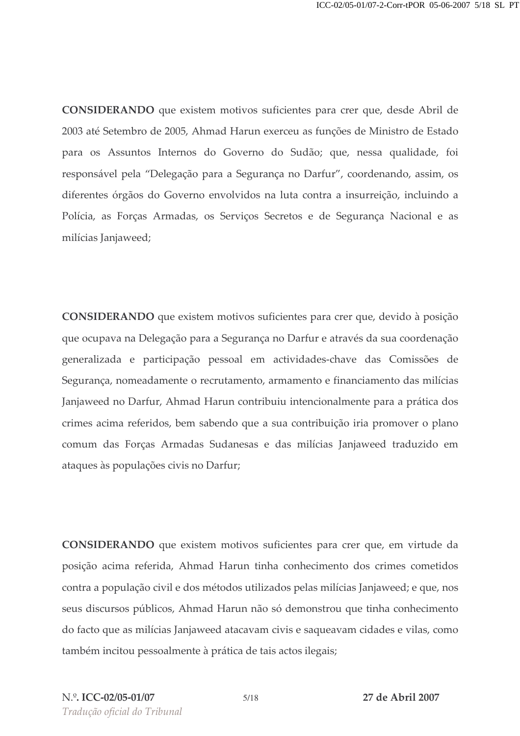CONSIDERANDO que existem motivos suficientes para crer que, desde Abril de 2003 até Setembro de 2005, Ahmad Harun exerceu as funções de Ministro de Estado para os Assuntos Internos do Governo do Sudão; que, nessa qualidade, foi responsável pela "Delegação para a Segurança no Darfur", coordenando, assim, os diferentes órgãos do Governo envolvidos na luta contra a insurreição, incluindo a Polícia, as Forças Armadas, os Serviços Secretos e de Segurança Nacional e as milícias Janjaweed;

CONSIDERANDO que existem motivos suficientes para crer que, devido à posição que ocupava na Delegação para a Segurança no Darfur e através da sua coordenação generalizada e participação pessoal em actividades-chave das Comissões de Segurança, nomeadamente o recrutamento, armamento e financiamento das milícias Janjaweed no Darfur, Ahmad Harun contribuiu intencionalmente para a prática dos crimes acima referidos, bem sabendo que a sua contribuição iria promover o plano comum das Forças Armadas Sudanesas e das milícias Janjaweed traduzido em ataques às populações civis no Darfur;

CONSIDERANDO que existem motivos suficientes para crer que, em virtude da posição acima referida, Ahmad Harun tinha conhecimento dos crimes cometidos contra a população civil e dos métodos utilizados pelas milícias Janjaweed; e que, nos seus discursos públicos, Ahmad Harun não só demonstrou que tinha conhecimento do facto que as milícias Janjaweed atacavam civis e saqueavam cidades e vilas, como também incitou pessoalmente à prática de tais actos ilegais;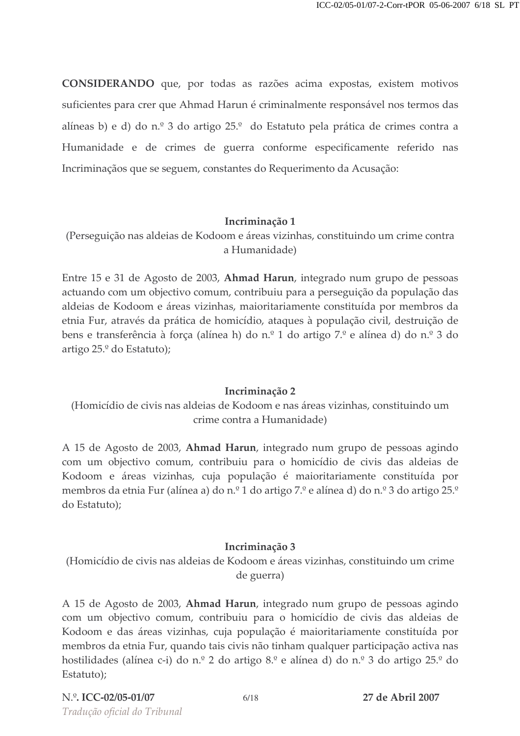CONSIDERANDO que, por todas as razões acima expostas, existem motivos suficientes para crer que Ahmad Harun é criminalmente responsável nos termos das alíneas b) e d) do n.º 3 do artigo 25.º do Estatuto pela prática de crimes contra a Humanidade e de crimes de guerra conforme especificamente referido nas Incriminaçãos que se seguem, constantes do Requerimento da Acusação:

#### Incriminação 1

(Perseguição nas aldeias de Kodoom e áreas vizinhas, constituindo um crime contra a Humanidade)

Entre 15 e 31 de Agosto de 2003, Ahmad Harun, integrado num grupo de pessoas actuando com um objectivo comum, contribuiu para a perseguição da população das aldeias de Kodoom e áreas vizinhas, maioritariamente constituída por membros da etnia Fur, através da prática de homicídio, ataques à população civil, destruição de bens e transferência à força (alínea h) do n.º 1 do artigo 7.º e alínea d) do n.º 3 do artigo 25.º do Estatuto);

## Incriminação 2

(Homicídio de civis nas aldeias de Kodoom e nas áreas vizinhas, constituindo un crime contra a Humanidade)

A 15 de Agosto de 2003, **Ahmad Harun**, integrado num grupo de pessoas agindo com um objectivo comum, contribuiu para o homicídio de civis das aldeias de Kodoom e áreas vizinhas, cuja população é maioritariamente constituída por membros da etnia Fur (alínea a) do n.º 1 do artigo 7.º e alínea d) do n.º 3 do artigo 25.º do Estatuto);

## Incriminação 3

(Homicídio de civis nas aldeias de Kodoom e áreas vizinhas, constituindo um crime de guerra)

A 15 de Agosto de 2003, **Ahmad Harun**, integrado num grupo de pessoas agindo com um objectivo comum, contribuiu para o homicídio de civis das aldeias de Kodoom e das áreas vizinhas, cuja população é maioritariamente constituída por membros da etnia Fur, quando tais civis não tinham qualquer participação activa nas hostilidades (alínea c-i) do n.º 2 do artigo 8.º e alínea d) do n.º 3 do artigo 25.º do Estatuto);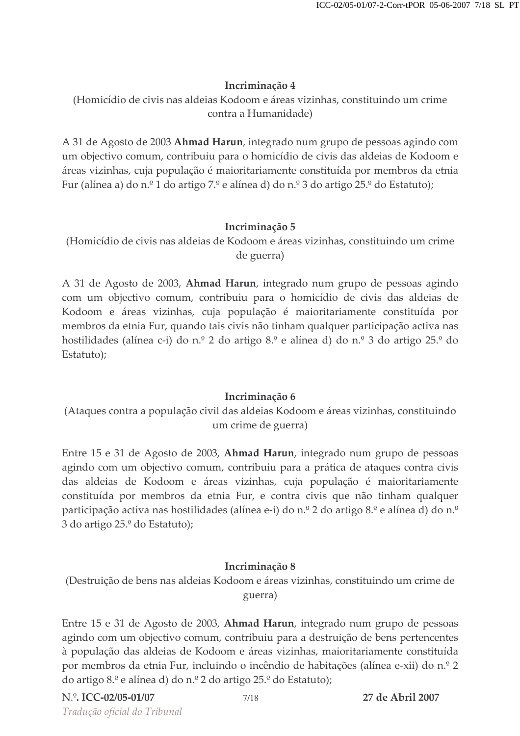(Homicídio de civis nas aldeias Kodoom e áreas vizinhas, constituindo um crime contra a Humanidade)

A 31 de Agosto de 2003 **Ahmad Harun**, integrado num grupo de pessoas agindo con um objectivo comum, contribuiu para o homicídio de civis das aldeias de Kodoom e áreas vizinhas, cuja população é maioritariamente constituída por membros da etnia Fur (alínea a) do n.º 1 do artigo 7.º e alínea d) do n.º 3 do artigo 25.º do Estatuto);

#### Incriminação 5

(Homicídio de civis nas aldeias de Kodoom e áreas vizinhas, constituindo um crime de guerra)

A 31 de Agosto de 2003, **Ahmad Harun**, integrado num grupo de pessoas agindo com um objectivo comum, contribuiu para o homicídio de civis das aldeias de Kodoom e áreas vizinhas, cuja população é maioritariamente constituída por membros da etnia Fur, quando tais civis não tinham qualquer participação activa nas hostilidades (alínea c-i) do n.º 2 do artigo 8.º e alínea d) do n.º 3 do artigo 25.º do Estatuto);

## Incriminação 6

(Ataques contra a população civil das aldeias Kodoom e áreas vizinhas, constituindo um crime de guerra)

Entre 15 e 31 de Agosto de 2003, Ahmad Harun, integrado num grupo de pessoas agindo com um objectivo comum, contribuiu para a prática de ataques contra civis das aldeias de Kodoom e áreas vizinhas, cuja população é maioritariamente constituída por membros da etnia Fur, e contra civis que não tinham qualquer participação activa nas hostilidades (alínea e-i) do n.º 2 do artigo 8.º e alínea d) do n.º 3 do artigo 25.º do Estatuto);

## Incriminação 8

(Destruição de bens nas aldeias Kodoom e áreas vizinhas, constituindo um crime de guerra)

Entre 15 e 31 de Agosto de 2003, Ahmad Harun, integrado num grupo de pessoas agindo com um objectivo comum, contribuiu para a destruição de bens pertencentes à população das aldeias de Kodoom e áreas vizinhas, maioritariamente constituída por membros da etnia Fur, incluindo o incêndio de habitações (alínea e-xii) do n.º 2 do artigo 8.º e alínea d) do n.º 2 do artigo 25.º do Estatuto);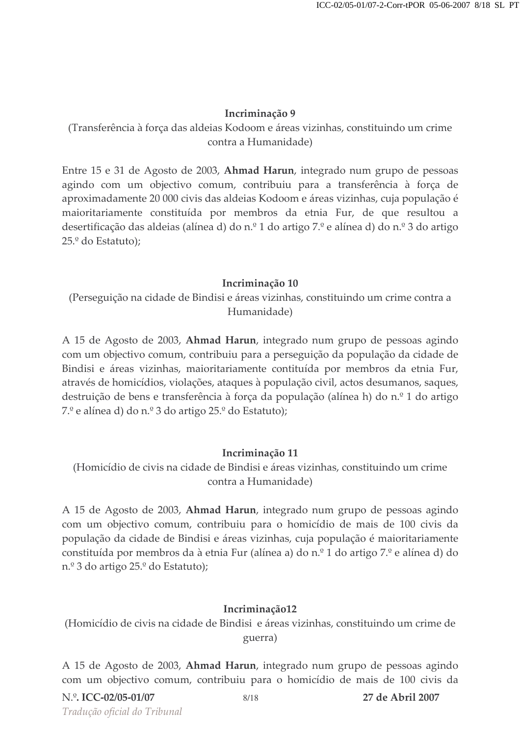## (Transferência à força das aldeias Kodoom e áreas vizinhas, constituindo um crime contra a Humanidade)

Entre 15 e 31 de Agosto de 2003, Ahmad Harun, integrado num grupo de pessoas agindo com um objectivo comum, contribuiu para a transferência à força de aproximadamente 20 000 civis das aldeias Kodoom e áreas vizinhas, cuja população é maioritariamente constituída por membros da etnia Fur, de que resultou a desertificação das aldeias (alínea d) do n.º 1 do artigo 7.º e alínea d) do n.º 3 do artigo 25.º do Estatuto);

#### Incriminação 10

(Perseguição na cidade de Bindisi e áreas vizinhas, constituindo um crime contra a Humanidade)

A 15 de Agosto de 2003, **Ahmad Harun**, integrado num grupo de pessoas agindo com um objectivo comum, contribuiu para a perseguição da população da cidade de Bindisi e áreas vizinhas, maioritariamente contituída por membros da etnia Fur, através de homicídios, violações, ataques à população civil, actos desumanos, saques, destruição de bens e transferência à força da população (alínea h) do n.º 1 do artigo 7.º e alínea d) do n.º 3 do artigo 25.º do Estatuto);

## Incriminação 11

(Homicídio de civis na cidade de Bindisi e áreas vizinhas, constituindo um crime contra a Humanidade)

A 15 de Agosto de 2003, Ahmad Harun, integrado num grupo de pessoas agindo com um objectivo comum, contribuiu para o homicídio de mais de 100 civis da população da cidade de Bindisi e áreas vizinhas, cuja população é maioritariamente constituída por membros da à etnia Fur (alínea a) do n.º 1 do artigo 7.º e alínea d) do n.º 3 do artigo 25.º do Estatuto);

## Incriminação12

(Homicídio de civis na cidade de Bindisi e áreas vizinhas, constituindo um crime de guerra)

A 15 de Agosto de 2003, **Ahmad Harun**, integrado num grupo de pessoas agindo com um objectivo comum, contribuiu para o homicídio de mais de 100 civis da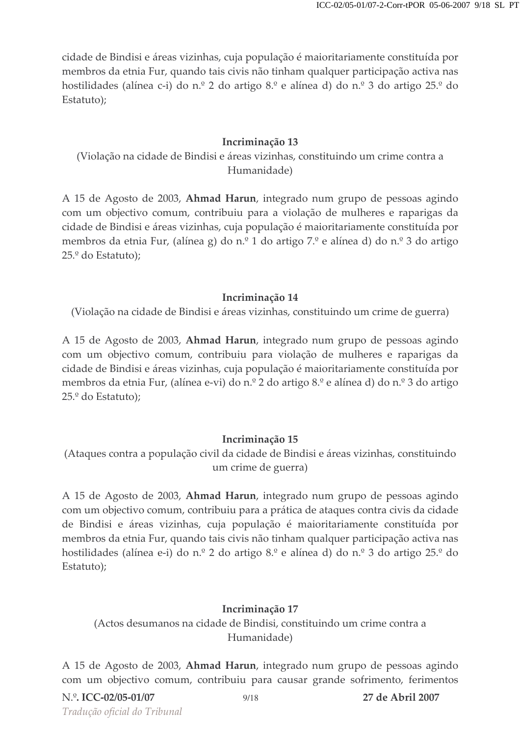cidade de Bindisi e áreas vizinhas, cuja população é maioritariamente constituída por membros da etnia Fur, quando tais civis não tinham qualquer participação activa nas hostilidades (alínea c-i) do n.º 2 do artigo 8.º e alínea d) do n.º 3 do artigo 25.º do Estatuto);

#### Incriminação 13

(Violação na cidade de Bindisi e áreas vizinhas, constituindo um crime contra a Humanidade)

A 15 de Agosto de 2003, Ahmad Harun, integrado num grupo de pessoas agindo com um objectivo comum, contribuiu para a violação de mulheres e raparigas da cidade de Bindisi e áreas vizinhas, cuja população é maioritariamente constituída por membros da etnia Fur, (alínea g) do n.º 1 do artigo 7.º e alínea d) do n.º 3 do artigo 25.º do Estatuto);

#### Incriminação 14

(Violação na cidade de Bindisi e áreas vizinhas, constituindo um crime de guerra)

A 15 de Agosto de 2003, **Ahmad Harun**, integrado num grupo de pessoas agindo com um objectivo comum, contribuiu para violação de mulheres e raparigas da cidade de Bindisi e áreas vizinhas, cuja população é maioritariamente constituída por membros da etnia Fur, (alínea e-vi) do n.º 2 do artigo 8.º e alínea d) do n.º 3 do artigo 25.º do Estatuto);

#### Incriminação 15

(Ataques contra a população civil da cidade de Bindisi e áreas vizinhas, constituindo um crime de guerra)

A 15 de Agosto de 2003, Ahmad Harun, integrado num grupo de pessoas agindo com um objectivo comum, contribuiu para a prática de ataques contra civis da cidade de Bindisi e áreas vizinhas, cuja população é maioritariamente constituída por membros da etnia Fur, quando tais civis não tinham qualquer participação activa nas hostilidades (alínea e-i) do n.º 2 do artigo 8.º e alínea d) do n.º 3 do artigo 25.º do Estatuto);

#### Incriminação 17

(Actos desumanos na cidade de Bindisi, constituindo um crime contra a Humanidade)

A 15 de Agosto de 2003, **Ahmad Harun**, integrado num grupo de pessoas agindo com um objectivo comum, contribuiu para causar grande sofrimento, ferimentos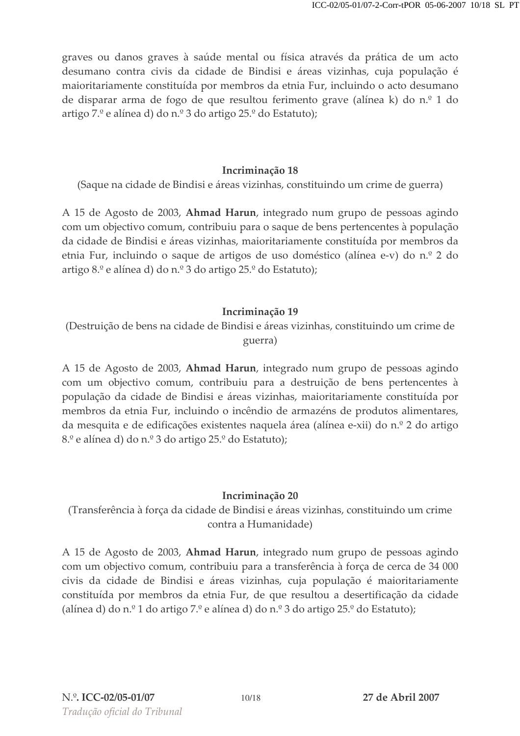graves ou danos graves à saúde mental ou física através da prática de um acto desumano contra civis da cidade de Bindisi e áreas vizinhas, cuja população é maioritariamente constituída por membros da etnia Fur, incluindo o acto desumano de disparar arma de fogo de que resultou ferimento grave (alínea k) do n.º 1 do artigo 7.º e alínea d) do n.º 3 do artigo 25.º do Estatuto);

#### Incriminação 18

(Saque na cidade de Bindisi e áreas vizinhas, constituindo um crime de guerra)

A 15 de Agosto de 2003, **Ahmad Harun**, integrado num grupo de pessoas agindo com um objectivo comum, contribuiu para o saque de bens pertencentes à população da cidade de Bindisi e áreas vizinhas, maioritariamente constituída por membros da etnia Fur, incluindo o saque de artigos de uso doméstico (alínea e-v) do n.º 2 do artigo 8.º e alínea d) do n.º 3 do artigo 25.º do Estatuto);

## Incriminação 19

(Destruição de bens na cidade de Bindisi e áreas vizinhas, constituindo um crime de guerra)

A 15 de Agosto de 2003, **Ahmad Harun**, integrado num grupo de pessoas agindo com um objectivo comum, contribuiu para a destruição de bens pertencentes à população da cidade de Bindisi e áreas vizinhas, maioritariamente constituída por membros da etnia Fur, incluindo o incêndio de armazéns de produtos alimentares, da mesquita e de edificações existentes naquela área (alínea e-xii) do n.º 2 do artigo  $8.^\text{o}$  e alínea d) do n.º 3 do artigo 25.º do Estatuto);

## Incriminação 20

(Transferência à força da cidade de Bindisi e áreas vizinhas, constituindo um crime contra a Humanidade)

A 15 de Agosto de 2003, **Ahmad Harun**, integrado num grupo de pessoas agindo com um objectivo comum, contribuiu para a transferência à força de cerca de 34 000 civis da cidade de Bindisi e áreas vizinhas, cuja população é maioritariamente constituída por membros da etnia Fur, de que resultou a desertificação da cidade (alínea d) do n.º 1 do artigo 7.º e alínea d) do n.º 3 do artigo 25.º do Estatuto);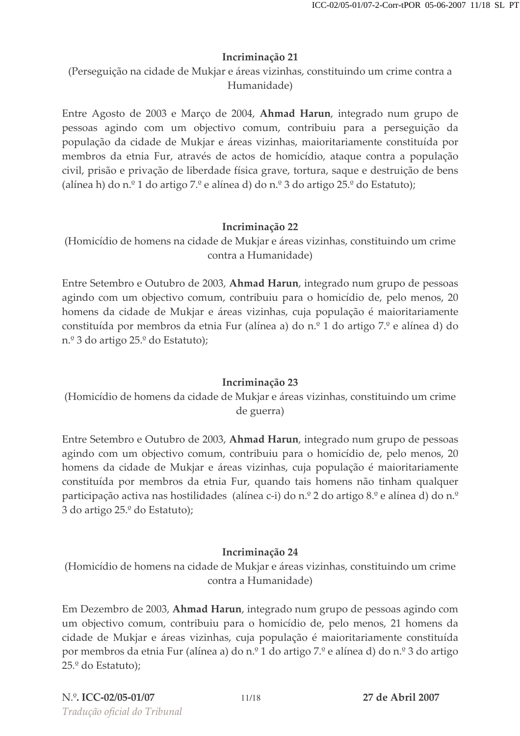(Perseguição na cidade de Mukjar e áreas vizinhas, constituindo um crime contra a Humanidade)

Entre Agosto de 2003 e Março de 2004, **Ahmad Harun**, integrado num grupo de pessoas agindo com um objectivo comum, contribuiu para a perseguição da população da cidade de Mukjar e áreas vizinhas, maioritariamente constituída por membros da etnia Fur, através de actos de homicídio, ataque contra a população civil, prisão e privação de liberdade física grave, tortura, saque e destruição de bens (alínea h) do n.º 1 do artigo 7.º e alínea d) do n.º 3 do artigo 25.º do Estatuto);

## Incriminação 22

(Homicídio de homens na cidade de Mukjar e áreas vizinhas, constituindo um crime contra a Humanidade)

Entre Setembro e Outubro de 2003, Ahmad Harun, integrado num grupo de pessoas agindo com um objectivo comum, contribuiu para o homicídio de, pelo menos, 20 homens da cidade de Mukjar e áreas vizinhas, cuja população é maioritariamente constituída por membros da etnia Fur (alínea a) do n.º 1 do artigo 7.º e alínea d) do n.º 3 do artigo 25.º do Estatuto);

## Incriminação 23

(Homicídio de homens da cidade de Mukjar e áreas vizinhas, constituindo um crime de guerra)

Entre Setembro e Outubro de 2003, Ahmad Harun, integrado num grupo de pessoas agindo com um objectivo comum, contribuiu para o homicídio de, pelo menos, 20 homens da cidade de Mukjar e áreas vizinhas, cuja população é maioritariamente constituída por membros da etnia Fur, quando tais homens não tinham qualquer participação activa nas hostilidades (alínea c-i) do n.º 2 do artigo 8.º e alínea d) do n.º 3 do artigo 25.º do Estatuto);

## Incriminação 24

(Homicídio de homens na cidade de Mukjar e áreas vizinhas, constituindo um crime contra a Humanidade)

Em Dezembro de 2003, **Ahmad Harun**, integrado num grupo de pessoas agindo con um objectivo comum, contribuiu para o homicídio de, pelo menos, 21 homens da cidade de Mukjar e áreas vizinhas, cuja população é maioritariamente constituída por membros da etnia Fur (alínea a) do n.º 1 do artigo 7.º e alínea d) do n.º 3 do artigo 25.º do Estatuto);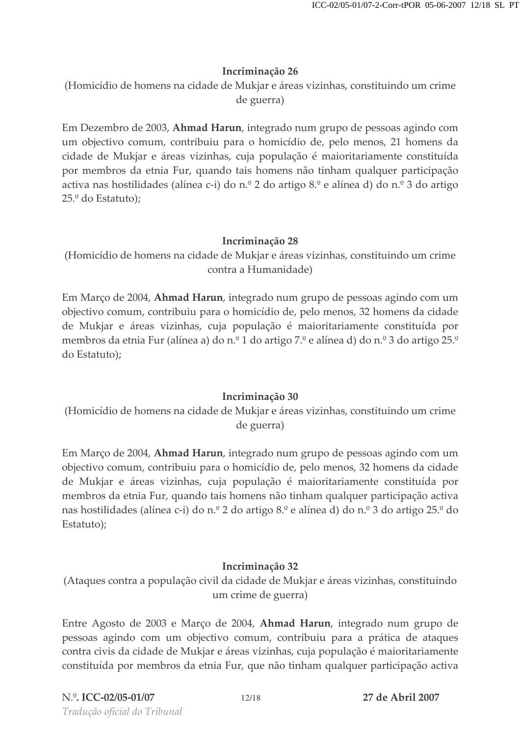(Homicídio de homens na cidade de Mukjar e áreas vizinhas, constituindo um crime de guerra)

Em Dezembro de 2003, **Ahmad Harun**, integrado num grupo de pessoas agindo con um objectivo comum, contribuiu para o homicídio de, pelo menos, 21 homens da cidade de Mukjar e áreas vizinhas, cuja população é maioritariamente constituída por membros da etnia Fur, quando tais homens não tinham qualquer participação activa nas hostilidades (alínea c-i) do n.º 2 do artigo 8.º e alínea d) do n.º 3 do artigo 25.º do Estatuto);

## Incriminação 28

(Homicídio de homens na cidade de Mukjar e áreas vizinhas, constituindo um crime contra a Humanidade)

Em Março de 2004, **Ahmad Harun**, integrado num grupo de pessoas agindo com un objectivo comum, contribuiu para o homicídio de, pelo menos, 32 homens da cidade de Mukjar e áreas vizinhas, cuja população é maioritariamente constituída por membros da etnia Fur (alínea a) do n.º 1 do artigo 7.º e alínea d) do n.º 3 do artigo 25.º do Estatuto);

## Incriminação 30

(Homicídio de homens na cidade de Mukjar e áreas vizinhas, constituindo um crime de guerra)

Em Março de 2004, **Ahmad Harun**, integrado num grupo de pessoas agindo com un objectivo comum, contribuiu para o homicídio de, pelo menos, 32 homens da cidade de Mukjar e áreas vizinhas, cuja população é maioritariamente constituída por membros da etnia Fur, quando tais homens não tinham qualquer participação activa nas hostilidades (alínea c-i) do n.º 2 do artigo 8.º e alínea d) do n.º 3 do artigo 25.º do Estatuto);

## Incriminação 32

(Ataques contra a população civil da cidade de Mukjar e áreas vizinhas, constituindo um crime de guerra)

Entre Agosto de 2003 e Março de 2004, **Ahmad Harun**, integrado num grupo de pessoas agindo com um objectivo comum, contribuiu para a prática de ataques contra civis da cidade de Mukjar e áreas vizinhas, cuja população é maioritariamente constituída por membros da etnia Fur, que não tinham qualquer participação activa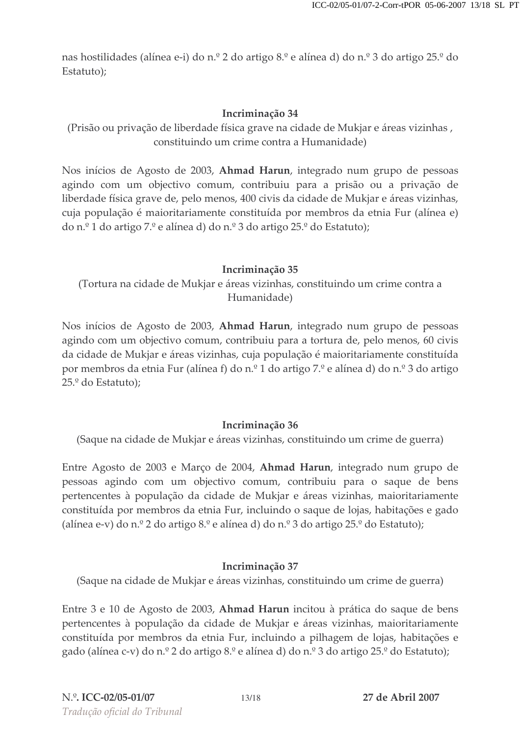nas hostilidades (alínea e-i) do n.º 2 do artigo 8.º e alínea d) do n.º 3 do artigo 25.º do Estatuto);

## Incriminação 34

(Prisão ou privação de liberdade física grave na cidade de Mukjar e áreas vizinhas , constituindo um crime contra a Humanidade)

Nos inícios de Agosto de 2003, **Ahmad Harun**, integrado num grupo de pessoas agindo com um objectivo comum, contribuiu para a prisão ou a privação de liberdade física grave de, pelo menos, 400 civis da cidade de Mukjar e áreas vizinhas, cuja população é maioritariamente constituída por membros da etnia Fur (alínea e) do n.º 1 do artigo 7.º e alínea d) do n.º 3 do artigo 25.º do Estatuto);

## Incriminação 35

(Tortura na cidade de Mukjar e áreas vizinhas, constituindo um crime contra a Humanidade)

Nos inícios de Agosto de 2003, **Ahmad Harun**, integrado num grupo de pessoas agindo com um objectivo comum, contribuiu para a tortura de, pelo menos, 60 civis da cidade de Mukjar e áreas vizinhas, cuja população é maioritariamente constituída por membros da etnia Fur (alínea f) do n.º 1 do artigo 7.º e alínea d) do n.º 3 do artigo 25.º do Estatuto);

## Incriminação 36

(Saque na cidade de Mukjar e áreas vizinhas, constituindo um crime de guerra)

Entre Agosto de 2003 e Março de 2004, **Ahmad Harun**, integrado num grupo de pessoas agindo com um objectivo comum, contribuiu para o saque de bens pertencentes à população da cidade de Mukjar e áreas vizinhas, maioritariamente constituída por membros da etnia Fur, incluindo o saque de lojas, habitações e gado (alínea e-v) do n.º 2 do artigo 8.º e alínea d) do n.º 3 do artigo 25.º do Estatuto);

## Incriminação 37

(Saque na cidade de Mukjar e áreas vizinhas, constituindo um crime de guerra)

Entre 3 e 10 de Agosto de 2003, **Ahmad Harun** incitou à prática do saque de bens pertencentes à população da cidade de Mukjar e áreas vizinhas, maioritariamente constituída por membros da etnia Fur, incluindo a pilhagem de lojas, habitações e gado (alínea c-v) do n.º 2 do artigo 8.º e alínea d) do n.º 3 do artigo 25.º do Estatuto);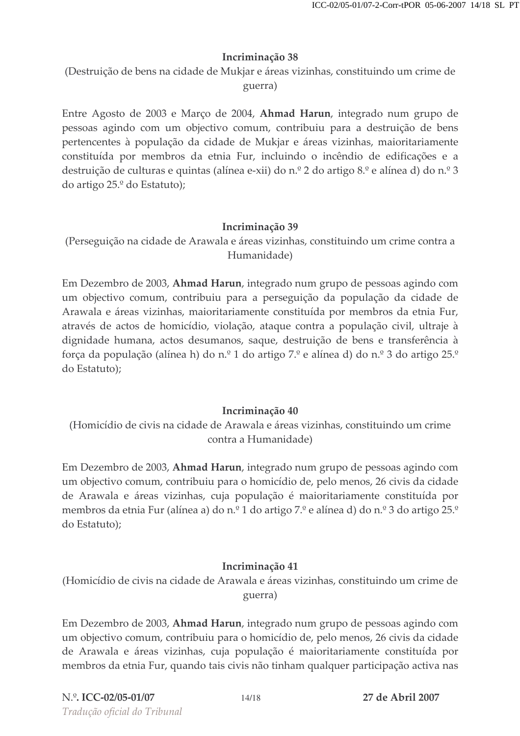(Destruição de bens na cidade de Mukjar e áreas vizinhas, constituindo um crime de guerra)

Entre Agosto de 2003 e Março de 2004, **Ahmad Harun**, integrado num grupo de pessoas agindo com um objectivo comum, contribuiu para a destruição de bens pertencentes à população da cidade de Mukjar e áreas vizinhas, maioritariamente constituída por membros da etnia Fur, incluindo o incêndio de edificações e a destruição de culturas e quintas (alínea e-xii) do n.º 2 do artigo 8.º e alínea d) do n.º 3 do artigo 25.º do Estatuto);

## Incriminação 39

(Perseguição na cidade de Arawala e áreas vizinhas, constituindo um crime contra a Humanidade)

Em Dezembro de 2003, **Ahmad Harun**, integrado num grupo de pessoas agindo con um objectivo comum, contribuiu para a perseguição da população da cidade de Arawala e áreas vizinhas, maioritariamente constituída por membros da etnia Fur, através de actos de homicídio, violação, ataque contra a população civil, ultraje à dignidade humana, actos desumanos, saque, destruição de bens e transferência à força da população (alínea h) do n.º 1 do artigo 7.º e alínea d) do n.º 3 do artigo 25.º do Estatuto);

#### Incriminação 40

(Homicídio de civis na cidade de Arawala e áreas vizinhas, constituindo um crime contra a Humanidade)

Em Dezembro de 2003, **Ahmad Harun**, integrado num grupo de pessoas agindo con um objectivo comum, contribuiu para o homicídio de, pelo menos, 26 civis da cidade de Arawala e áreas vizinhas, cuja população é maioritariamente constituída por membros da etnia Fur (alínea a) do n.º 1 do artigo 7.º e alínea d) do n.º 3 do artigo 25.º do Estatuto);

## Incriminação 41

(Homicídio de civis na cidade de Arawala e áreas vizinhas, constituindo um crime de guerra)

Em Dezembro de 2003, **Ahmad Harun**, integrado num grupo de pessoas agindo con um objectivo comum, contribuiu para o homicídio de, pelo menos, 26 civis da cidade de Arawala e áreas vizinhas, cuja população é maioritariamente constituída por membros da etnia Fur, quando tais civis não tinham qualquer participação activa nas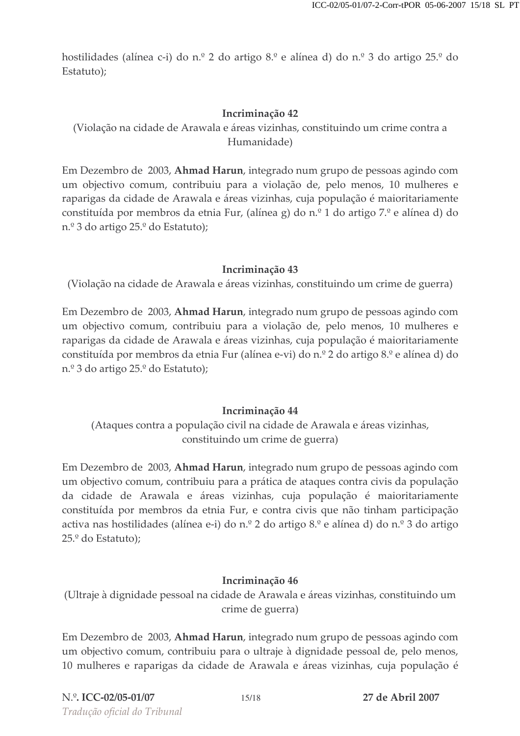hostilidades (alínea c-i) do n.º 2 do artigo 8.º e alínea d) do n.º 3 do artigo 25.º do Estatuto);

## Incriminação 42

(Violação na cidade de Arawala e áreas vizinhas, constituindo um crime contra a Humanidade)

Em Dezembro de 2003, **Ahmad Harun**, integrado num grupo de pessoas agindo con um objectivo comum, contribuiu para a violação de, pelo menos, 10 mulheres e raparigas da cidade de Arawala e áreas vizinhas, cuja população é maioritariamente constituída por membros da etnia Fur, (alínea g) do n.º 1 do artigo 7.º e alínea d) do n.º 3 do artigo 25.º do Estatuto);

## Incriminação 43

(Violação na cidade de Arawala e áreas vizinhas, constituindo um crime de guerra)

Em Dezembro de 2003, **Ahmad Harun**, integrado num grupo de pessoas agindo con um objectivo comum, contribuiu para a violação de, pelo menos, 10 mulheres e raparigas da cidade de Arawala e áreas vizinhas, cuja população é maioritariamente constituída por membros da etnia Fur (alínea e-vi) do n.º 2 do artigo 8.º e alínea d) do n.º 3 do artigo 25.º do Estatuto);

## Incriminação 44

(Ataques contra a população civil na cidade de Arawala e áreas vizinhas, constituindo um crime de guerra)

Em Dezembro de 2003, **Ahmad Harun**, integrado num grupo de pessoas agindo con um objectivo comum, contribuiu para a prática de ataques contra civis da população da cidade de Arawala e áreas vizinhas, cuja população é maioritariamente constituída por membros da etnia Fur, e contra civis que não tinham participação activa nas hostilidades (alínea e-i) do n.º 2 do artigo 8.º e alínea d) do n.º 3 do artigo 25.º do Estatuto);

## Incriminação 46

(Ultraje à dignidade pessoal na cidade de Arawala e áreas vizinhas, constituindo un crime de guerra)

Em Dezembro de 2003, **Ahmad Harun**, integrado num grupo de pessoas agindo con um objectivo comum, contribuiu para o ultraje à dignidade pessoal de, pelo menos, 10 mulheres e raparigas da cidade de Arawala e áreas vizinhas, cuja população é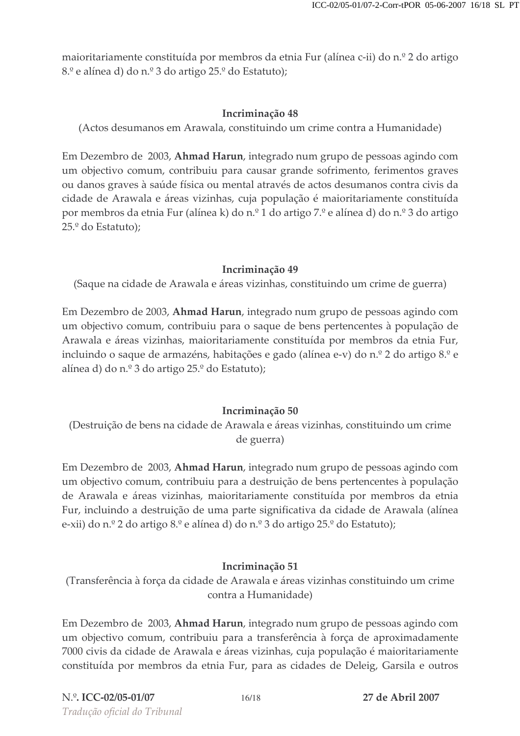maioritariamente constituída por membros da etnia Fur (alínea c-ii) do n.º 2 do artigo 8.<sup>o</sup> e alínea d) do n.º 3 do artigo 25.<sup>o</sup> do Estatuto);

## Incriminação 48

(Actos desumanos em Arawala, constituindo um crime contra a Humanidade)

Em Dezembro de 2003, Ahmad Harun, integrado num grupo de pessoas agindo com um objectivo comum, contribuiu para causar grande sofrimento, ferimentos graves ou danos graves à saúde física ou mental através de actos desumanos contra civis da cidade de Arawala e áreas vizinhas, cuja população é maioritariamente constituída por membros da etnia Fur (alínea k) do n.º 1 do artigo 7.º e alínea d) do n.º 3 do artigo 25.<sup>°</sup> do Estatuto);

## Incriminação 49

(Saque na cidade de Arawala e áreas vizinhas, constituindo um crime de guerra)

Em Dezembro de 2003, Ahmad Harun, integrado num grupo de pessoas agindo com um objectivo comum, contribuiu para o saque de bens pertencentes à população de Arawala e áreas vizinhas, maioritariamente constituída por membros da etnia Fur, incluindo o saque de armazéns, habitações e gado (alínea e-v) do n.º 2 do artigo 8.º e alínea d) do n.º 3 do artigo 25.º do Estatuto);

## Incriminação 50

(Destruição de bens na cidade de Arawala e áreas vizinhas, constituindo um crime de guerra)

Em Dezembro de 2003, Ahmad Harun, integrado num grupo de pessoas agindo com um objectivo comum, contribuiu para a destruição de bens pertencentes à população de Arawala e áreas vizinhas, maioritariamente constituída por membros da etnia Fur, incluindo a destruição de uma parte significativa da cidade de Arawala (alínea e-xii) do n.º 2 do artigo 8.º e alínea d) do n.º 3 do artigo 25.º do Estatuto);

## Incriminação 51

(Transferência à força da cidade de Arawala e áreas vizinhas constituindo um crime contra a Humanidade)

Em Dezembro de 2003, Ahmad Harun, integrado num grupo de pessoas agindo com um objectivo comum, contribuiu para a transferência à força de aproximadamente 7000 civis da cidade de Arawala e áreas vizinhas, cuja população é maioritariamente constituída por membros da etnia Fur, para as cidades de Deleig, Garsila e outros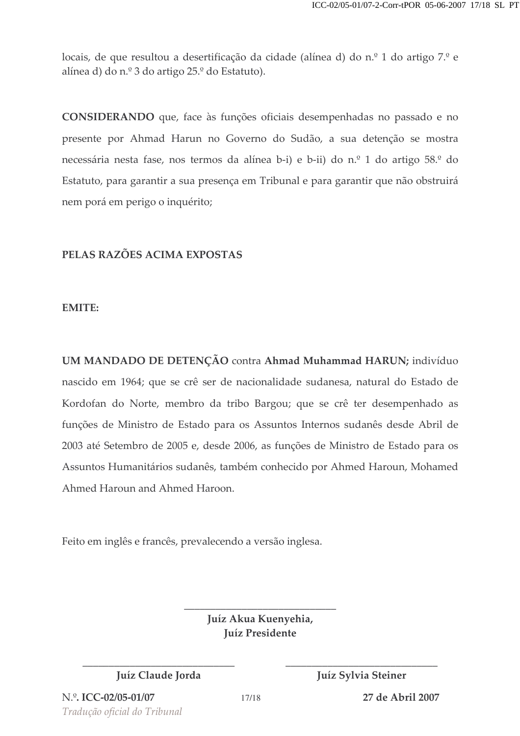locais, de que resultou a desertificação da cidade (alínea d) do n.º 1 do artigo 7.º e alínea d) do n.º 3 do artigo 25.º do Estatuto).

CONSIDERANDO que, face às funções oficiais desempenhadas no passado e no presente por Ahmad Harun no Governo do Sudão, a sua detenção se mostra necessária nesta fase, nos termos da alínea b-i) e b-ii) do n.º 1 do artigo 58.º do Estatuto, para garantir a sua presença em Tribunal e para garantir que não obstruirá nem porá em perigo o inquérito;

## PELAS RAZOES ACIMA EXPOSTAS

## **EMITE:**

UM MANDADO DE DETENÇAO contra Ahmad Muhammad HARUN; indivíduo nascido em 1964; que se crê ser de nacionalidade sudanesa, natural do Estado de Kordofan do Norte, membro da tribo Bargou; que se crê ter desempenhado as funções de Ministro de Estado para os Assuntos Internos sudanês desde Abril de 2003 até Setembro de 2005 e, desde 2006, as funções de Ministro de Estado para os Assuntos Humanitários sudanês, também conhecido por Ahmed Haroun, Mohamed Ahmed Haroun and Ahmed Haroon.

Feito em inglês e francês, prevalecendo a versão inglesa.

Juíz Akua Kuenyehia, **Juíz Presidente** 

EEEEEEEEEEEEEEEEEEEEEEEEEEEEE EEEEEEEEEEEEEEEEEEEEEEEEEEEEE

EEEEEEEEEEEEEEEEEEEEEEEEEEEEE

Juíz Claude Jorda **March 1986** Juíz Sylvia Steiner